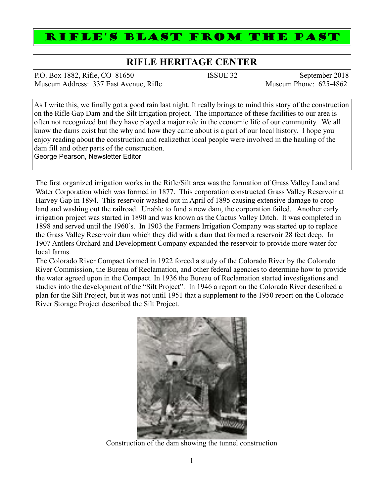## RIFLE'S BLAST FROM THE PAST

## **RIFLE HERITAGE CENTER**

| P.O. Box 1882, Rifle, CO 81650         | ISSUE 32 | September 2018         |
|----------------------------------------|----------|------------------------|
| Museum Address: 337 East Avenue, Rifle |          | Museum Phone: 625-4862 |

As I write this, we finally got a good rain last night. It really brings to mind this story of the construction on the Rifle Gap Dam and the Silt Irrigation project. The importance of these facilities to our area is often not recognized but they have played a major role in the economic life of our community. We all know the dams exist but the why and how they came about is a part of our local history. I hope you enjoy reading about the construction and realizethat local people were involved in the hauling of the dam fill and other parts of the construction. George Pearson, Newsletter Editor

The first organized irrigation works in the Rifle/Silt area was the formation of Grass Valley Land and Water Corporation which was formed in 1877. This corporation constructed Grass Valley Reservoir at Harvey Gap in 1894. This reservoir washed out in April of 1895 causing extensive damage to crop land and washing out the railroad. Unable to fund a new dam, the corporation failed. Another early irrigation project was started in 1890 and was known as the Cactus Valley Ditch. It was completed in 1898 and served until the 1960's. In 1903 the Farmers Irrigation Company was started up to replace the Grass Valley Reservoir dam which they did with a dam that formed a reservoir 28 feet deep. In 1907 Antlers Orchard and Development Company expanded the reservoir to provide more water for local farms.

The Colorado River Compact formed in 1922 forced a study of the Colorado River by the Colorado River Commission, the Bureau of Reclamation, and other federal agencies to determine how to provide the water agreed upon in the Compact. In 1936 the Bureau of Reclamation started investigations and studies into the development of the "Silt Project". In 1946 a report on the Colorado River described a plan for the Silt Project, but it was not until 1951 that a supplement to the 1950 report on the Colorado River Storage Project described the Silt Project.



Construction of the dam showing the tunnel construction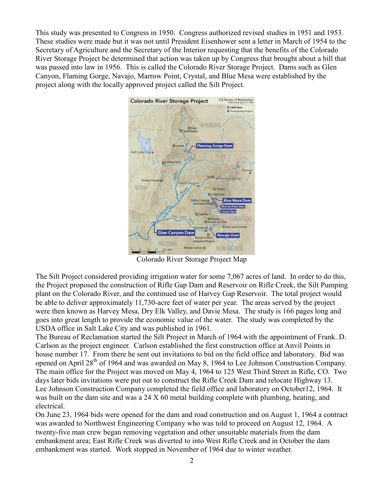This study was presented to Congress in 1950. Congress authorized revised studies in 1951 and 1953. These studies were made but it was not until President Eisenhower sent a letter in March of 1954 to the Secretary of Agriculture and the Secretary of the Interior requesting that the benefits of the Colorado River Storage Project be determined that action was taken up by Congress that brought about a bill that was passed into law in 1956. This is called the Colorado River Storage Project. Dams such as Glen Canyon, Flaming Gorge, Navajo, Marrow Point, Crystal, and Blue Mesa were established by the project along with the locally approved project called the Silt Project.



Colorado River Storage Project Map

The Silt Project considered providing irrigation water for some 7,067 acres of land. In order to do this, the Project proposed the construction of Rifle Gap Dam and Reservoir on Rifle Creek, the Silt Pumping plant on the Colorado River, and the continued use of Harvey Gap Reservoir. The total project would be able to deliver approximately 11,730-acre feet of water per year. The areas served by the project were then known as Harvey Mesa, Dry Elk Valley, and Davie Mesa. The study is 166 pages long and goes into great length to provide the economic value of the water. The study was completed by the USDA office in Salt Lake City and was published in 1961.

The Bureau of Reclamation started the Silt Project in March of 1964 with the appointment of Frank. D. Carlson as the project engineer. Carlson established the first construction office at Anvil Points in house number 17. From there he sent out invitations to bid on the field office and laboratory. Bid was opened on April 28<sup>th</sup> of 1964 and was awarded on May 8, 1964 to Lee Johnson Construction Company. The main office for the Project was moved on May 4, 1964 to 125 West Third Street in Rifle, CO. Two days later bids invitations were put out to construct the Rifle Creek Dam and relocate Highway 13. Lee Johnson Construction Company completed the field office and laboratory on October12, 1964. It was built on the dam site and was a 24 X 60 metal building complete with plumbing, heating, and electrical.

On June 23, 1964 bids were opened for the dam and road construction and on August 1, 1964 a contract was awarded to Northwest Engineering Company who was told to proceed on August 12, 1964. A twenty-five man crew began removing vegetation and other unsuitable materials from the dam embankment area; East Rifle Creek was diverted to into West Rifle Creek and in October the dam embankment was started. Work stopped in November of 1964 due to winter weather.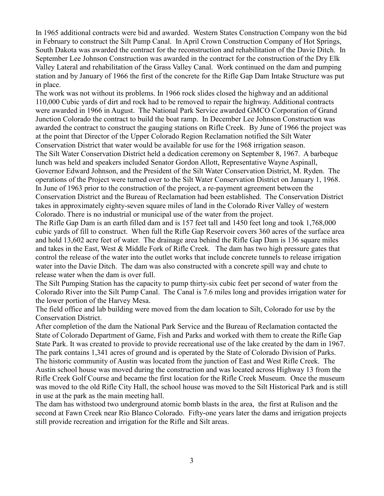In 1965 additional contracts were bid and awarded. Western States Construction Company won the bid in February to construct the Silt Pump Canal. In April Crown Construction Company of Hot Springs, South Dakota was awarded the contract for the reconstruction and rehabilitation of the Davie Ditch. In September Lee Johnson Construction was awarded in the contract for the construction of the Dry Elk Valley Lateral and rehabilitation of the Grass Valley Canal. Work continued on the dam and pumping station and by January of 1966 the first of the concrete for the Rifle Gap Dam Intake Structure was put in place.

The work was not without its problems. In 1966 rock slides closed the highway and an additional 110,000 Cubic yards of dirt and rock had to be removed to repair the highway. Additional contracts were awarded in 1966 in August. The National Park Service awarded GMCO Corporation of Grand Junction Colorado the contract to build the boat ramp. In December Lee Johnson Construction was awarded the contract to construct the gauging stations on Rifle Creek. By June of 1966 the project was at the point that Director of the Upper Colorado Region Reclamation notified the Silt Water Conservation District that water would be available for use for the 1968 irrigation season. The Silt Water Conservation District held a dedication ceremony on September 8, 1967. A barbeque lunch was held and speakers included Senator Gordon Allott, Representative Wayne Aspinall, Governor Edward Johnson, and the President of the Silt Water Conservation District, M. Ryden. The operations of the Project were turned over to the Silt Water Conservation District on January 1, 1968. In June of 1963 prior to the construction of the project, a re-payment agreement between the Conservation District and the Bureau of Reclamation had been established. The Conservation District takes in approximately eighty-seven square miles of land in the Colorado River Valley of western Colorado. There is no industrial or municipal use of the water from the project.

The Rifle Gap Dam is an earth filled dam and is 157 feet tall and 1450 feet long and took 1,768,000 cubic yards of fill to construct. When full the Rifle Gap Reservoir covers 360 acres of the surface area and hold 13,602 acre feet of water. The drainage area behind the Rifle Gap Dam is 136 square miles and takes in the East, West & Middle Fork of Rifle Creek. The dam has two high pressure gates that control the release of the water into the outlet works that include concrete tunnels to release irrigation water into the Davie Ditch. The dam was also constructed with a concrete spill way and chute to release water when the dam is over full.

The Silt Pumping Station has the capacity to pump thirty-six cubic feet per second of water from the Colorado River into the Silt Pump Canal. The Canal is 7.6 miles long and provides irrigation water for the lower portion of the Harvey Mesa.

The field office and lab building were moved from the dam location to Silt, Colorado for use by the Conservation District.

After completion of the dam the National Park Service and the Bureau of Reclamation contacted the State of Colorado Department of Game, Fish and Parks and worked with them to create the Rifle Gap State Park. It was created to provide to provide recreational use of the lake created by the dam in 1967. The park contains 1,341 acres of ground and is operated by the State of Colorado Division of Parks. The historic community of Austin was located from the junction of East and West Rifle Creek. The Austin school house was moved during the construction and was located across Highway 13 from the Rifle Creek Golf Course and became the first location for the Rifle Creek Museum. Once the museum was moved to the old Rifle City Hall, the school house was moved to the Silt Historical Park and is still in use at the park as the main meeting hall.

The dam has withstood two underground atomic bomb blasts in the area, the first at Rulison and the second at Fawn Creek near Rio Blanco Colorado. Fifty-one years later the dams and irrigation projects still provide recreation and irrigation for the Rifle and Silt areas.